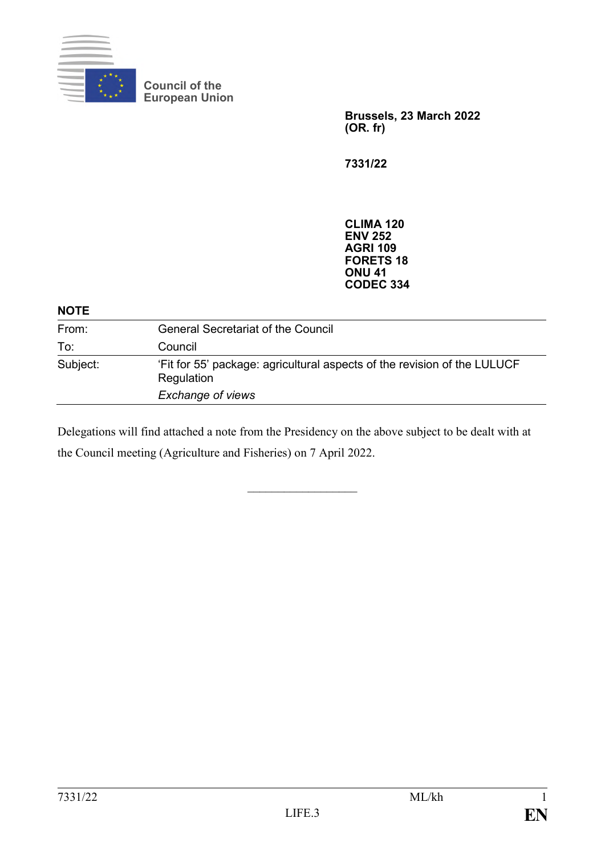

**Council of the European Union**

> **Brussels, 23 March 2022 (OR. fr)**

**7331/22**

**CLIMA 120 ENV 252 AGRI 109 FORETS 18 ONU 41 CODEC 334**

| <b>NOTE</b> |                                                                                                             |
|-------------|-------------------------------------------------------------------------------------------------------------|
| From:       | <b>General Secretariat of the Council</b>                                                                   |
| To:         | Council                                                                                                     |
| Subject:    | 'Fit for 55' package: agricultural aspects of the revision of the LULUCF<br>Regulation<br>Exchange of views |

Delegations will find attached a note from the Presidency on the above subject to be dealt with at the Council meeting (Agriculture and Fisheries) on 7 April 2022.

 $\frac{1}{2}$  ,  $\frac{1}{2}$  ,  $\frac{1}{2}$  ,  $\frac{1}{2}$  ,  $\frac{1}{2}$  ,  $\frac{1}{2}$  ,  $\frac{1}{2}$  ,  $\frac{1}{2}$  ,  $\frac{1}{2}$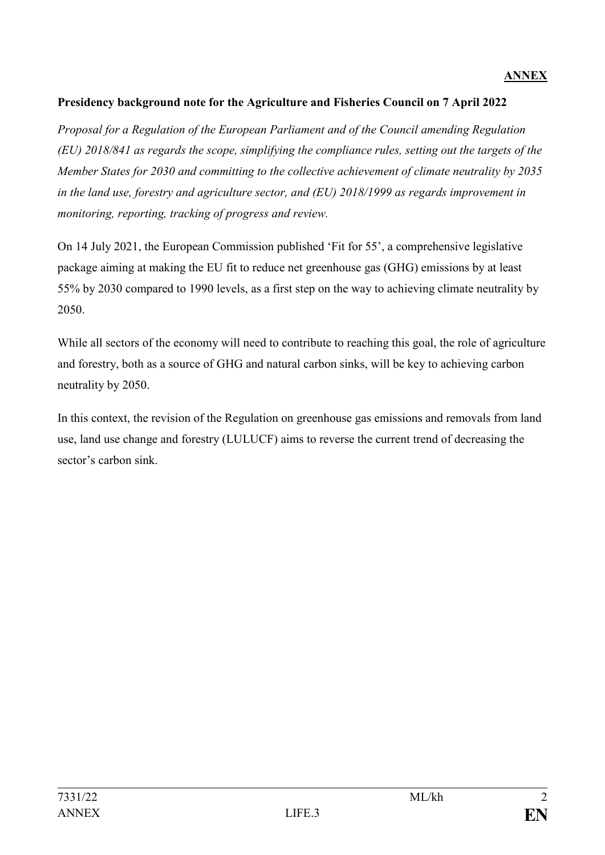## **Presidency background note for the Agriculture and Fisheries Council on 7 April 2022**

*Proposal for a Regulation of the European Parliament and of the Council amending Regulation (EU) 2018/841 as regards the scope, simplifying the compliance rules, setting out the targets of the Member States for 2030 and committing to the collective achievement of climate neutrality by 2035 in the land use, forestry and agriculture sector, and (EU) 2018/1999 as regards improvement in monitoring, reporting, tracking of progress and review.*

On 14 July 2021, the European Commission published 'Fit for 55', a comprehensive legislative package aiming at making the EU fit to reduce net greenhouse gas (GHG) emissions by at least 55% by 2030 compared to 1990 levels, as a first step on the way to achieving climate neutrality by 2050.

While all sectors of the economy will need to contribute to reaching this goal, the role of agriculture and forestry, both as a source of GHG and natural carbon sinks, will be key to achieving carbon neutrality by 2050.

In this context, the revision of the Regulation on greenhouse gas emissions and removals from land use, land use change and forestry (LULUCF) aims to reverse the current trend of decreasing the sector's carbon sink.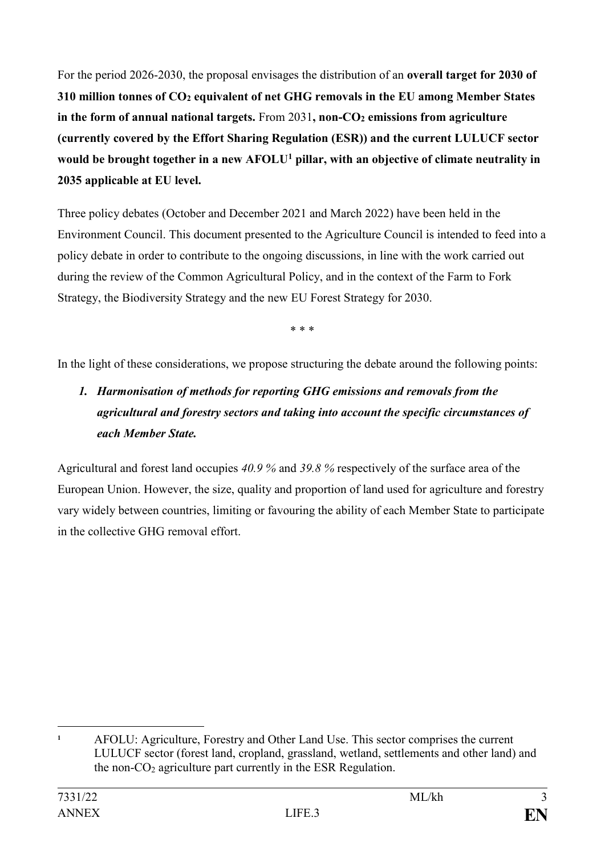For the period 2026-2030, the proposal envisages the distribution of an **overall target for 2030 of 310 million tonnes of CO<sup>2</sup> equivalent of net GHG removals in the EU among Member States in the form of annual national targets.** From 2031**, non-CO<sup>2</sup> emissions from agriculture (currently covered by the Effort Sharing Regulation (ESR)) and the current LULUCF sector would be brought together in a new AFOLU<sup>1</sup> pillar, with an objective of climate neutrality in 2035 applicable at EU level.**

Three policy debates (October and December 2021 and March 2022) have been held in the Environment Council. This document presented to the Agriculture Council is intended to feed into a policy debate in order to contribute to the ongoing discussions, in line with the work carried out during the review of the Common Agricultural Policy, and in the context of the Farm to Fork Strategy, the Biodiversity Strategy and the new EU Forest Strategy for 2030.

\* \* \*

In the light of these considerations, we propose structuring the debate around the following points:

## *1. Harmonisation of methods for reporting GHG emissions and removals from the agricultural and forestry sectors and taking into account the specific circumstances of each Member State.*

Agricultural and forest land occupies *40.9 %* and *39.8 %* respectively of the surface area of the European Union. However, the size, quality and proportion of land used for agriculture and forestry vary widely between countries, limiting or favouring the ability of each Member State to participate in the collective GHG removal effort.

1

**<sup>1</sup>** AFOLU: Agriculture, Forestry and Other Land Use. This sector comprises the current LULUCF sector (forest land, cropland, grassland, wetland, settlements and other land) and the non-CO<sup>2</sup> agriculture part currently in the ESR Regulation.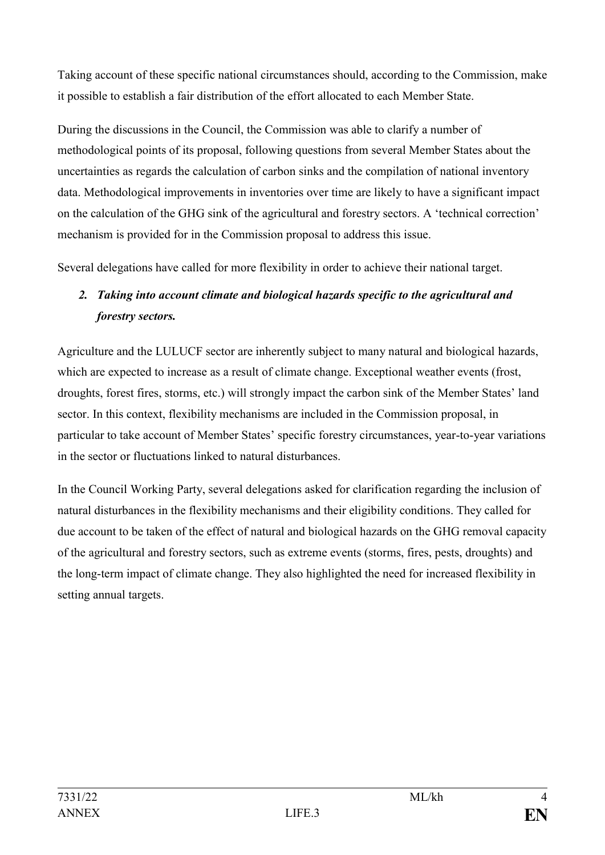Taking account of these specific national circumstances should, according to the Commission, make it possible to establish a fair distribution of the effort allocated to each Member State.

During the discussions in the Council, the Commission was able to clarify a number of methodological points of its proposal, following questions from several Member States about the uncertainties as regards the calculation of carbon sinks and the compilation of national inventory data. Methodological improvements in inventories over time are likely to have a significant impact on the calculation of the GHG sink of the agricultural and forestry sectors. A 'technical correction' mechanism is provided for in the Commission proposal to address this issue.

Several delegations have called for more flexibility in order to achieve their national target.

## *2. Taking into account climate and biological hazards specific to the agricultural and forestry sectors.*

Agriculture and the LULUCF sector are inherently subject to many natural and biological hazards, which are expected to increase as a result of climate change. Exceptional weather events (frost, droughts, forest fires, storms, etc.) will strongly impact the carbon sink of the Member States' land sector. In this context, flexibility mechanisms are included in the Commission proposal, in particular to take account of Member States' specific forestry circumstances, year-to-year variations in the sector or fluctuations linked to natural disturbances.

In the Council Working Party, several delegations asked for clarification regarding the inclusion of natural disturbances in the flexibility mechanisms and their eligibility conditions. They called for due account to be taken of the effect of natural and biological hazards on the GHG removal capacity of the agricultural and forestry sectors, such as extreme events (storms, fires, pests, droughts) and the long-term impact of climate change. They also highlighted the need for increased flexibility in setting annual targets.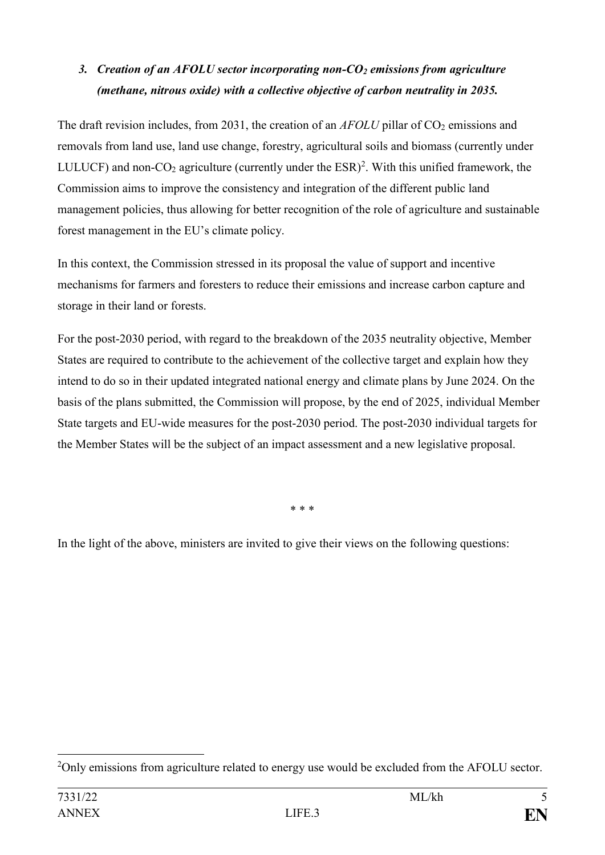## *3. Creation of an AFOLU sector incorporating non-CO<sup>2</sup> emissions from agriculture (methane, nitrous oxide) with a collective objective of carbon neutrality in 2035.*

The draft revision includes, from 2031, the creation of an *AFOLU* pillar of CO<sub>2</sub> emissions and removals from land use, land use change, forestry, agricultural soils and biomass (currently under LULUCF) and non- $CO_2$  agriculture (currently under the ESR)<sup>2</sup>. With this unified framework, the Commission aims to improve the consistency and integration of the different public land management policies, thus allowing for better recognition of the role of agriculture and sustainable forest management in the EU's climate policy.

In this context, the Commission stressed in its proposal the value of support and incentive mechanisms for farmers and foresters to reduce their emissions and increase carbon capture and storage in their land or forests.

For the post-2030 period, with regard to the breakdown of the 2035 neutrality objective, Member States are required to contribute to the achievement of the collective target and explain how they intend to do so in their updated integrated national energy and climate plans by June 2024. On the basis of the plans submitted, the Commission will propose, by the end of 2025, individual Member State targets and EU-wide measures for the post-2030 period. The post-2030 individual targets for the Member States will be the subject of an impact assessment and a new legislative proposal.

\* \* \*

In the light of the above, ministers are invited to give their views on the following questions:

<sup>&</sup>lt;u>.</u> <sup>2</sup>Only emissions from agriculture related to energy use would be excluded from the AFOLU sector.